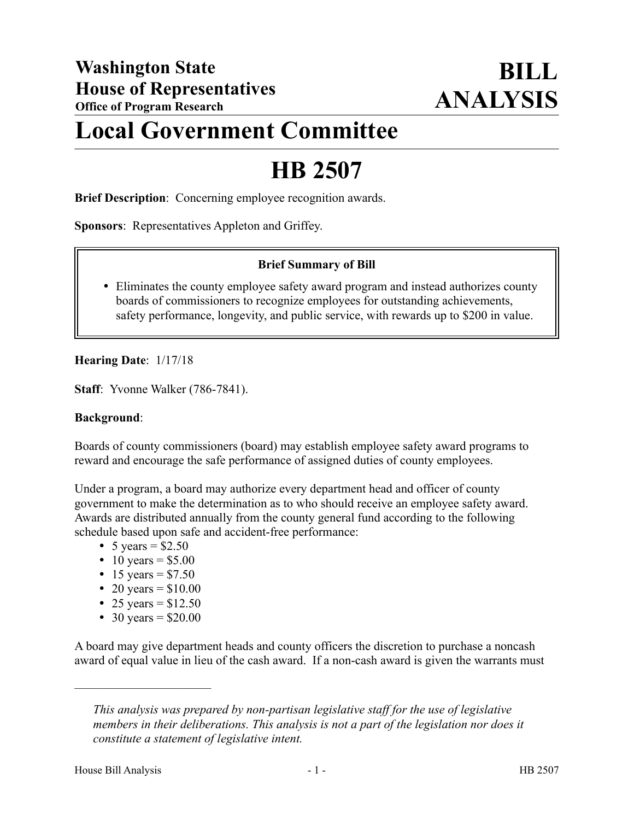## **Local Government Committee**

# **HB 2507**

**Brief Description**: Concerning employee recognition awards.

**Sponsors**: Representatives Appleton and Griffey.

#### **Brief Summary of Bill**

 Eliminates the county employee safety award program and instead authorizes county boards of commissioners to recognize employees for outstanding achievements, safety performance, longevity, and public service, with rewards up to \$200 in value.

**Hearing Date**: 1/17/18

**Staff**: Yvonne Walker (786-7841).

#### **Background**:

Boards of county commissioners (board) may establish employee safety award programs to reward and encourage the safe performance of assigned duties of county employees.

Under a program, a board may authorize every department head and officer of county government to make the determination as to who should receive an employee safety award. Awards are distributed annually from the county general fund according to the following schedule based upon safe and accident-free performance:

- 5 years =  $$2.50$
- 10 years =  $$5.00$
- 15 years =  $$7.50$
- 20 years =  $$10.00$
- 25 years =  $$12.50$
- 30 years =  $$20.00$

––––––––––––––––––––––

A board may give department heads and county officers the discretion to purchase a noncash award of equal value in lieu of the cash award. If a non-cash award is given the warrants must

*This analysis was prepared by non-partisan legislative staff for the use of legislative members in their deliberations. This analysis is not a part of the legislation nor does it constitute a statement of legislative intent.*